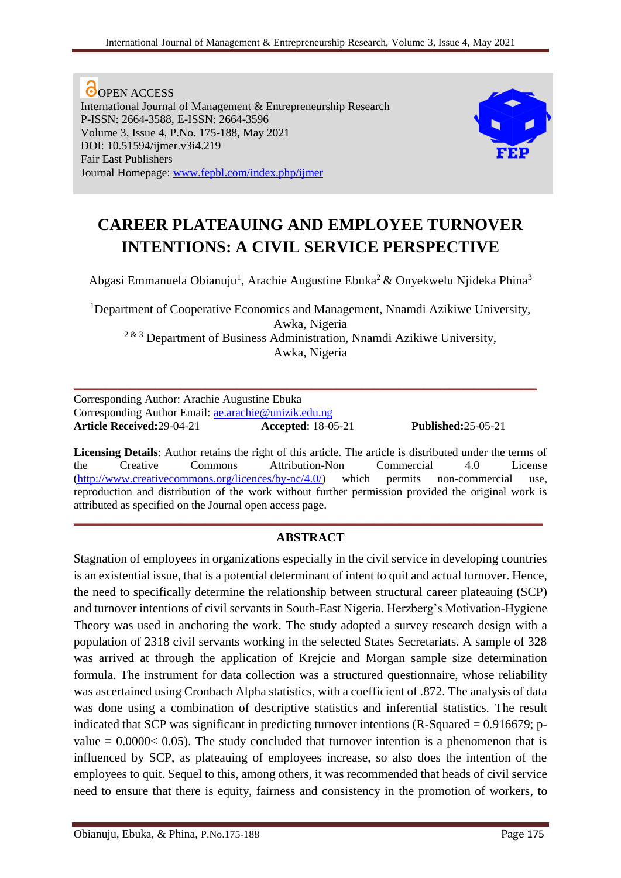**O**OPEN ACCESS International Journal of Management & Entrepreneurship Research P-ISSN: 2664-3588, E-ISSN: 2664-3596 Volume 3, Issue 4, P.No. 175-188, May 2021 DOI: 10.51594/ijmer.v3i4.219 Fair East Publishers Journal Homepage: [www.fepbl.com/index.php/ijmer](http://www.fepbl.com/index.php/ijmer)



# **CAREER PLATEAUING AND EMPLOYEE TURNOVER INTENTIONS: A CIVIL SERVICE PERSPECTIVE**

Abgasi Emmanuela Obianuju<sup>1</sup>, Arachie Augustine Ebuka<sup>2</sup> & Onyekwelu Njideka Phina<sup>3</sup>

<sup>1</sup>Department of Cooperative Economics and Management, Nnamdi Azikiwe University, Awka, Nigeria 2 & 3 Department of Business Administration, Nnamdi Azikiwe University, Awka, Nigeria

**\_\_\_\_\_\_\_\_\_\_\_\_\_\_\_\_\_\_\_\_\_\_\_\_\_\_\_\_\_\_\_\_\_\_\_\_\_\_\_\_\_\_\_\_\_\_\_\_\_\_\_\_\_\_\_\_\_\_\_\_\_\_\_\_\_\_\_\_\_\_\_\_\_\_**

Corresponding Author: Arachie Augustine Ebuka Corresponding Author Email: [ae.arachie@unizik.edu.ng](mailto:ae.arachie@unizik.edu.ng) **Article Received:**29-04-21 **Accepted**: 18-05-21 **Published:**25-05-21

**Licensing Details**: Author retains the right of this article. The article is distributed under the terms of the Creative Commons Attribution-Non Commercial 4.0 License [\(http://www.creativecommons.org/licences/by-nc/4.0/\)](http://www.creativecommons.org/licences/by-nc/4.0/) which permits non-commercial use, reproduction and distribution of the work without further permission provided the original work is attributed as specified on the Journal open access page.

# **\_\_\_\_\_\_\_\_\_\_\_\_\_\_\_\_\_\_\_\_\_\_\_\_\_\_\_\_\_\_\_\_\_\_\_\_\_\_\_\_\_\_\_\_\_\_\_\_\_\_\_\_\_\_\_\_\_\_\_\_\_\_\_\_\_\_\_\_\_\_\_\_\_\_\_ ABSTRACT**

Stagnation of employees in organizations especially in the civil service in developing countries is an existential issue, that is a potential determinant of intent to quit and actual turnover. Hence, the need to specifically determine the relationship between structural career plateauing (SCP) and turnover intentions of civil servants in South-East Nigeria. Herzberg's Motivation-Hygiene Theory was used in anchoring the work. The study adopted a survey research design with a population of 2318 civil servants working in the selected States Secretariats. A sample of 328 was arrived at through the application of Krejcie and Morgan sample size determination formula. The instrument for data collection was a structured questionnaire, whose reliability was ascertained using Cronbach Alpha statistics, with a coefficient of .872. The analysis of data was done using a combination of descriptive statistics and inferential statistics. The result indicated that SCP was significant in predicting turnover intentions  $(R-Squared = 0.916679; p$ value  $= 0.0000 < 0.05$ ). The study concluded that turnover intention is a phenomenon that is influenced by SCP, as plateauing of employees increase, so also does the intention of the employees to quit. Sequel to this, among others, it was recommended that heads of civil service need to ensure that there is equity, fairness and consistency in the promotion of workers, to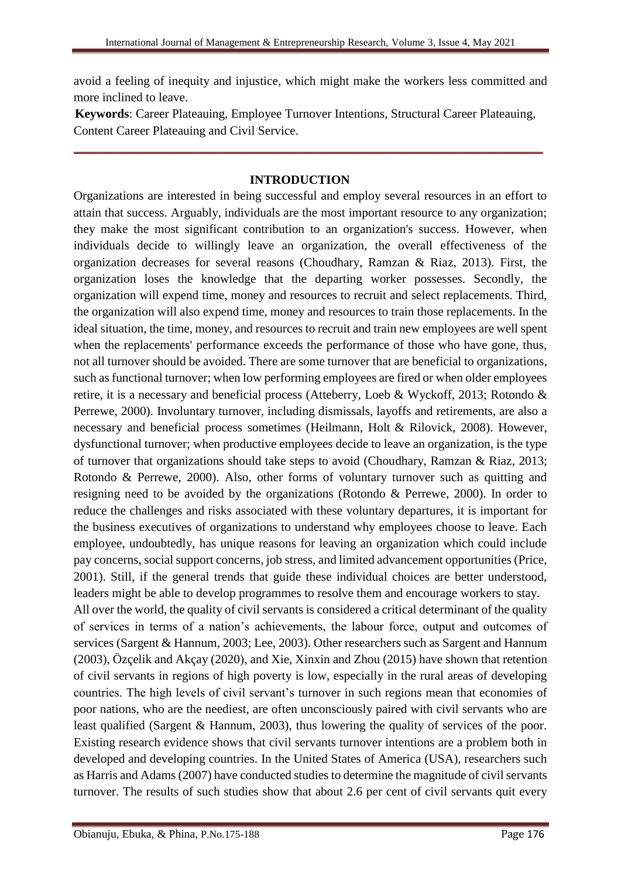avoid a feeling of inequity and injustice, which might make the workers less committed and more inclined to leave.

**Keywords**: Career Plateauing, Employee Turnover Intentions, Structural Career Plateauing, Content Career Plateauing and Civil Service.

**\_\_\_\_\_\_\_\_\_\_\_\_\_\_\_\_\_\_\_\_\_\_\_\_\_\_\_\_\_\_\_\_\_\_\_\_\_\_\_\_\_\_\_\_\_\_\_\_\_\_\_\_\_\_\_\_\_\_\_\_\_\_\_\_\_\_\_\_\_\_\_\_\_\_\_**

# **INTRODUCTION**

Organizations are interested in being successful and employ several resources in an effort to attain that success. Arguably, individuals are the most important resource to any organization; they make the most significant contribution to an organization's success. However, when individuals decide to willingly leave an organization, the overall effectiveness of the organization decreases for several reasons (Choudhary, Ramzan & Riaz, 2013). First, the organization loses the knowledge that the departing worker possesses. Secondly, the organization will expend time, money and resources to recruit and select replacements. Third, the organization will also expend time, money and resources to train those replacements. In the ideal situation, the time, money, and resources to recruit and train new employees are well spent when the replacements' performance exceeds the performance of those who have gone, thus, not all turnover should be avoided. There are some turnover that are beneficial to organizations, such as functional turnover; when low performing employees are fired or when older employees retire, it is a necessary and beneficial process (Atteberry, Loeb & Wyckoff, 2013; Rotondo & Perrewe, 2000). Involuntary turnover, including dismissals, layoffs and retirements, are also a necessary and beneficial process sometimes [\(Heilmann, Holt](https://journals.sagepub.com/doi/10.1177/1548051808317999) & [Rilovick,](https://journals.sagepub.com/doi/10.1177/1548051808317999) 2008). However, dysfunctional turnover; when productive employees decide to leave an organization, is the type of turnover that organizations should take steps to avoid (Choudhary, Ramzan & Riaz, 2013; Rotondo & Perrewe, 2000). Also, other forms of voluntary turnover such as quitting and resigning need to be avoided by the organizations (Rotondo & Perrewe, 2000). In order to reduce the challenges and risks associated with these voluntary departures, it is important for the business executives of organizations to understand why employees choose to leave. Each employee, undoubtedly, has unique reasons for leaving an organization which could include pay concerns, social support concerns, job stress, and limited advancement opportunities (Price, 2001). Still, if the general trends that guide these individual choices are better understood, leaders might be able to develop programmes to resolve them and encourage workers to stay. All over the world, the quality of civil servants is considered a critical determinant of the quality

of services in terms of a nation's achievements, the labour force, output and outcomes of services (Sargent & Hannum, 2003; Lee, 2003). Other researchers such as Sargent and Hannum (2003), Özçelik and Akçay (2020), and Xie, Xinxin and Zhou (2015) have shown that retention of civil servants in regions of high poverty is low, especially in the rural areas of developing countries. The high levels of civil servant's turnover in such regions mean that economies of poor nations, who are the neediest, are often unconsciously paired with civil servants who are least qualified (Sargent & Hannum, 2003), thus lowering the quality of services of the poor. Existing research evidence shows that civil servants turnover intentions are a problem both in developed and developing countries. In the United States of America (USA), researchers such as Harris and Adams (2007) have conducted studies to determine the magnitude of civil servants turnover. The results of such studies show that about 2.6 per cent of civil servants quit every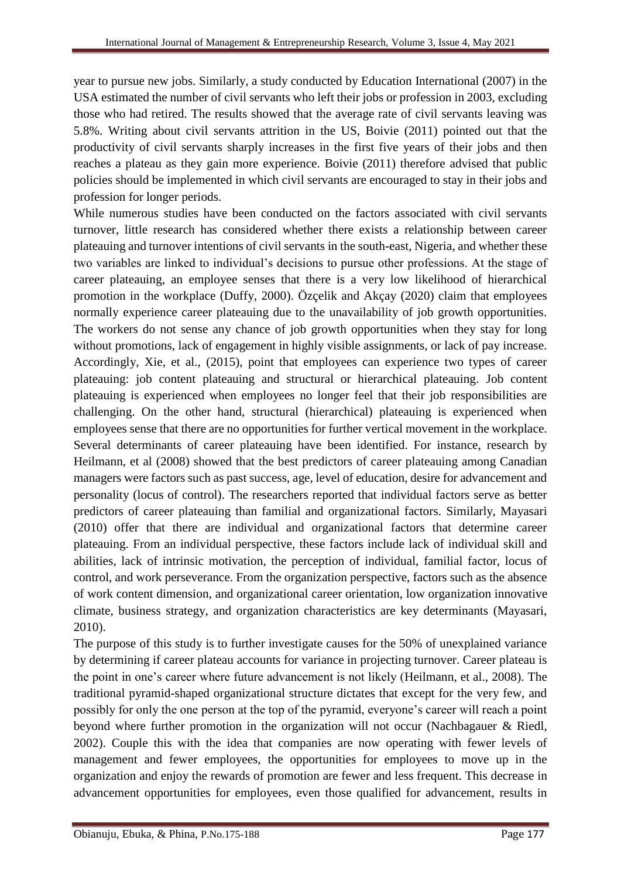year to pursue new jobs. Similarly, a study conducted by Education International (2007) in the USA estimated the number of civil servants who left their jobs or profession in 2003, excluding those who had retired. The results showed that the average rate of civil servants leaving was 5.8%. Writing about civil servants attrition in the US, Boivie (2011) pointed out that the productivity of civil servants sharply increases in the first five years of their jobs and then reaches a plateau as they gain more experience. Boivie (2011) therefore advised that public policies should be implemented in which civil servants are encouraged to stay in their jobs and profession for longer periods.

While numerous studies have been conducted on the factors associated with civil servants turnover, little research has considered whether there exists a relationship between career plateauing and turnover intentions of civil servants in the south-east, Nigeria, and whether these two variables are linked to individual's decisions to pursue other professions. At the stage of career plateauing, an employee senses that there is a very low likelihood of hierarchical promotion in the workplace (Duffy, 2000). Özçelik and Akçay (2020) claim that employees normally experience career plateauing due to the unavailability of job growth opportunities. The workers do not sense any chance of job growth opportunities when they stay for long without promotions, lack of engagement in highly visible assignments, or lack of pay increase. Accordingly, Xie, et al., (2015), point that employees can experience two types of career plateauing: job content plateauing and structural or hierarchical plateauing. Job content plateauing is experienced when employees no longer feel that their job responsibilities are challenging. On the other hand, structural (hierarchical) plateauing is experienced when employees sense that there are no opportunities for further vertical movement in the workplace. Several determinants of career plateauing have been identified. For instance, research by [Heilmann,](https://journals.sagepub.com/doi/10.1177/1548051808317999) et al (2008) showed that the best predictors of career plateauing among Canadian managers were factors such as past success, age, level of education, desire for advancement and personality (locus of control). The researchers reported that individual factors serve as better predictors of career plateauing than familial and organizational factors. Similarly, Mayasari (2010) offer that there are individual and organizational factors that determine career plateauing. From an individual perspective, these factors include lack of individual skill and abilities, lack of intrinsic motivation, the perception of individual, familial factor, locus of control, and work perseverance. From the organization perspective, factors such as the absence of work content dimension, and organizational career orientation, low organization innovative climate, business strategy, and organization characteristics are key determinants (Mayasari, 2010).

The purpose of this study is to further investigate causes for the 50% of unexplained variance by determining if career plateau accounts for variance in projecting turnover. Career plateau is the point in one's career where future advancement is not likely [\(Heilmann,](https://journals.sagepub.com/doi/10.1177/1548051808317999) et al., 2008). The traditional pyramid-shaped organizational structure dictates that except for the very few, and possibly for only the one person at the top of the pyramid, everyone's career will reach a point beyond where further promotion in the organization will not occur (Nachbagauer & Riedl, 2002). Couple this with the idea that companies are now operating with fewer levels of management and fewer employees, the opportunities for employees to move up in the organization and enjoy the rewards of promotion are fewer and less frequent. This decrease in advancement opportunities for employees, even those qualified for advancement, results in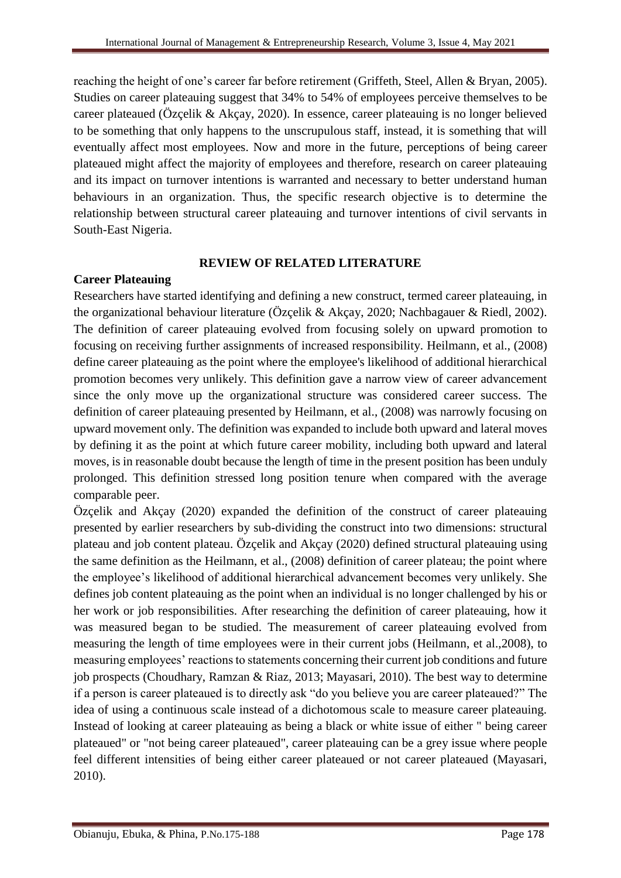reaching the height of one's career far before retirement (Griffeth, Steel, Allen & Bryan, 2005). Studies on career plateauing suggest that 34% to 54% of employees perceive themselves to be career plateaued (Özçelik & Akçay, 2020). In essence, career plateauing is no longer believed to be something that only happens to the unscrupulous staff, instead, it is something that will eventually affect most employees. Now and more in the future, perceptions of being career plateaued might affect the majority of employees and therefore, research on career plateauing and its impact on turnover intentions is warranted and necessary to better understand human behaviours in an organization. Thus, the specific research objective is to determine the relationship between structural career plateauing and turnover intentions of civil servants in South-East Nigeria.

# **REVIEW OF RELATED LITERATURE**

## **Career Plateauing**

Researchers have started identifying and defining a new construct, termed career plateauing, in the organizational behaviour literature (Özçelik & Akçay, 2020; Nachbagauer & Riedl, 2002). The definition of career plateauing evolved from focusing solely on upward promotion to focusing on receiving further assignments of increased responsibility. [Heilmann,](https://journals.sagepub.com/doi/10.1177/1548051808317999) et al., (2008) define career plateauing as the point where the employee's likelihood of additional hierarchical promotion becomes very unlikely. This definition gave a narrow view of career advancement since the only move up the organizational structure was considered career success. The definition of career plateauing presented by [Heilmann,](https://journals.sagepub.com/doi/10.1177/1548051808317999) et al., (2008) was narrowly focusing on upward movement only. The definition was expanded to include both upward and lateral moves by defining it as the point at which future career mobility, including both upward and lateral moves, is in reasonable doubt because the length of time in the present position has been unduly prolonged. This definition stressed long position tenure when compared with the average comparable peer.

Özçelik and Akçay (2020) expanded the definition of the construct of career plateauing presented by earlier researchers by sub-dividing the construct into two dimensions: structural plateau and job content plateau. Özçelik and Akçay (2020) defined structural plateauing using the same definition as the [Heilmann,](https://journals.sagepub.com/doi/10.1177/1548051808317999) et al., (2008) definition of career plateau; the point where the employee's likelihood of additional hierarchical advancement becomes very unlikely. She defines job content plateauing as the point when an individual is no longer challenged by his or her work or job responsibilities. After researching the definition of career plateauing, how it was measured began to be studied. The measurement of career plateauing evolved from measuring the length of time employees were in their current jobs [\(Heilmann,](https://journals.sagepub.com/doi/10.1177/1548051808317999) et al.,2008), to measuring employees' reactions to statements concerning their current job conditions and future job prospects (Choudhary, Ramzan & Riaz, 2013; Mayasari, 2010). The best way to determine if a person is career plateaued is to directly ask "do you believe you are career plateaued?" The idea of using a continuous scale instead of a dichotomous scale to measure career plateauing. Instead of looking at career plateauing as being a black or white issue of either " being career plateaued" or "not being career plateaued", career plateauing can be a grey issue where people feel different intensities of being either career plateaued or not career plateaued (Mayasari, 2010).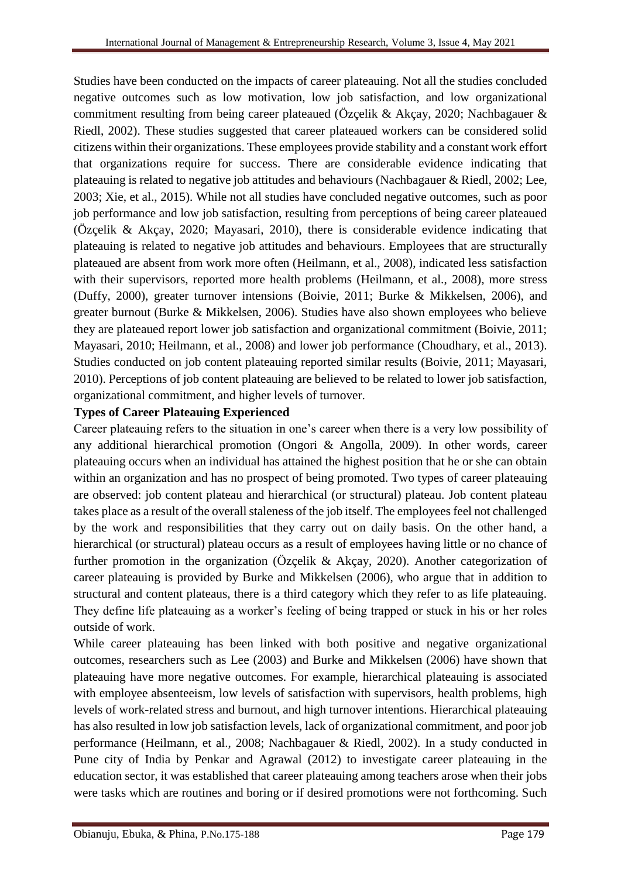Studies have been conducted on the impacts of career plateauing. Not all the studies concluded negative outcomes such as low motivation, low job satisfaction, and low organizational commitment resulting from being career plateaued (Özçelik & Akçay, 2020; Nachbagauer & Riedl, 2002). These studies suggested that career plateaued workers can be considered solid citizens within their organizations. These employees provide stability and a constant work effort that organizations require for success. There are considerable evidence indicating that plateauing is related to negative job attitudes and behaviours (Nachbagauer & Riedl, 2002; Lee, 2003; Xie, et al., 2015). While not all studies have concluded negative outcomes, such as poor job performance and low job satisfaction, resulting from perceptions of being career plateaued (Özçelik & Akçay, 2020; Mayasari, 2010), there is considerable evidence indicating that plateauing is related to negative job attitudes and behaviours. Employees that are structurally plateaued are absent from work more often [\(Heilmann,](https://journals.sagepub.com/doi/10.1177/1548051808317999) et al., 2008), indicated less satisfaction with their supervisors, reported more health problems [\(Heilmann,](https://journals.sagepub.com/doi/10.1177/1548051808317999) et al., 2008), more stress (Duffy, 2000), greater turnover intensions (Boivie, 2011; Burke & Mikkelsen, 2006), and greater burnout (Burke & Mikkelsen, 2006). Studies have also shown employees who believe they are plateaued report lower job satisfaction and organizational commitment (Boivie, 2011; Mayasari, 2010; [Heilmann,](https://journals.sagepub.com/doi/10.1177/1548051808317999) et al., 2008) and lower job performance (Choudhary, et al., 2013). Studies conducted on job content plateauing reported similar results (Boivie, 2011; Mayasari, 2010). Perceptions of job content plateauing are believed to be related to lower job satisfaction, organizational commitment, and higher levels of turnover.

## **Types of Career Plateauing Experienced**

Career plateauing refers to the situation in one's career when there is a very low possibility of any additional hierarchical promotion (Ongori & Angolla, 2009). In other words, career plateauing occurs when an individual has attained the highest position that he or she can obtain within an organization and has no prospect of being promoted. Two types of career plateauing are observed: job content plateau and hierarchical (or structural) plateau. Job content plateau takes place as a result of the overall staleness of the job itself. The employees feel not challenged by the work and responsibilities that they carry out on daily basis. On the other hand, a hierarchical (or structural) plateau occurs as a result of employees having little or no chance of further promotion in the organization (Özçelik & Akçay, 2020). Another categorization of career plateauing is provided by Burke and Mikkelsen (2006), who argue that in addition to structural and content plateaus, there is a third category which they refer to as life plateauing. They define life plateauing as a worker's feeling of being trapped or stuck in his or her roles outside of work.

While career plateauing has been linked with both positive and negative organizational outcomes, researchers such as Lee (2003) and Burke and Mikkelsen (2006) have shown that plateauing have more negative outcomes. For example, hierarchical plateauing is associated with employee absenteeism, low levels of satisfaction with supervisors, health problems, high levels of work-related stress and burnout, and high turnover intentions. Hierarchical plateauing has also resulted in low job satisfaction levels, lack of organizational commitment, and poor job performance [\(Heilmann,](https://journals.sagepub.com/doi/10.1177/1548051808317999) et al., 2008; Nachbagauer & Riedl, 2002). In a study conducted in Pune city of India by Penkar and Agrawal (2012) to investigate career plateauing in the education sector, it was established that career plateauing among teachers arose when their jobs were tasks which are routines and boring or if desired promotions were not forthcoming. Such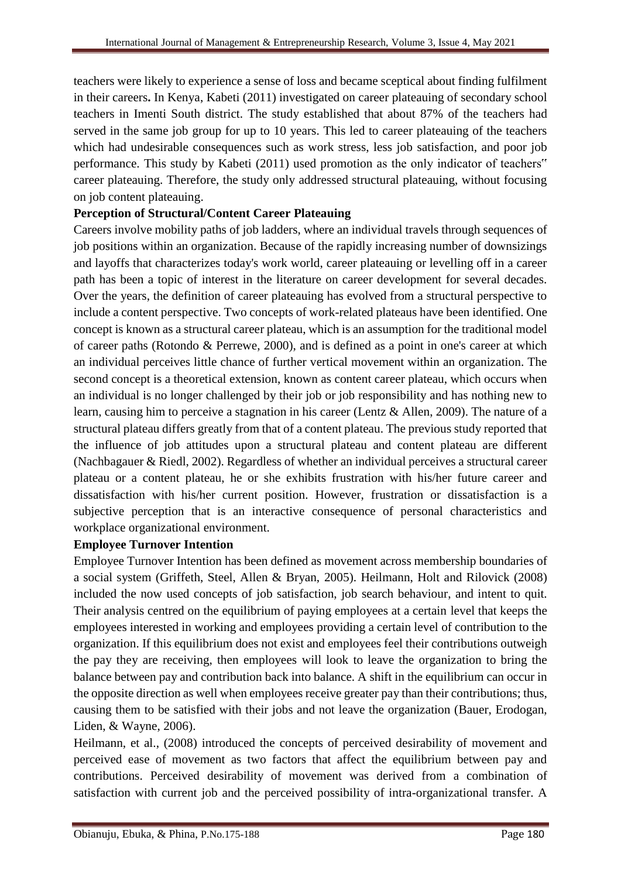teachers were likely to experience a sense of loss and became sceptical about finding fulfilment in their careers**.** In Kenya, Kabeti (2011) investigated on career plateauing of secondary school teachers in Imenti South district. The study established that about 87% of the teachers had served in the same job group for up to 10 years. This led to career plateauing of the teachers which had undesirable consequences such as work stress, less job satisfaction, and poor job performance. This study by Kabeti (2011) used promotion as the only indicator of teachers" career plateauing. Therefore, the study only addressed structural plateauing, without focusing on job content plateauing.

#### **Perception of Structural/Content Career Plateauing**

Careers involve mobility paths of job ladders, where an individual travels through sequences of job positions within an organization. Because of the rapidly increasing number of downsizings and layoffs that characterizes today's work world, career plateauing or levelling off in a career path has been a topic of interest in the literature on career development for several decades. Over the years, the definition of career plateauing has evolved from a structural perspective to include a content perspective. Two concepts of work-related plateaus have been identified. One concept is known as a structural career plateau, which is an assumption for the traditional model of career paths (Rotondo & Perrewe, 2000), and is defined as a point in one's career at which an individual perceives little chance of further vertical movement within an organization. The second concept is a theoretical extension, known as content career plateau, which occurs when an individual is no longer challenged by their job or job responsibility and has nothing new to learn, causing him to perceive a stagnation in his career (Lentz & Allen, 2009). The nature of a structural plateau differs greatly from that of a content plateau. The previous study reported that the influence of job attitudes upon a structural plateau and content plateau are different (Nachbagauer & Riedl, 2002). Regardless of whether an individual perceives a structural career plateau or a content plateau, he or she exhibits frustration with his/her future career and dissatisfaction with his/her current position. However, frustration or dissatisfaction is a subjective perception that is an interactive consequence of personal characteristics and workplace organizational environment.

#### **Employee Turnover Intention**

Employee Turnover Intention has been defined as movement across membership boundaries of a social system (Griffeth, Steel, Allen & Bryan, 2005). [Heilmann, Holt](https://journals.sagepub.com/doi/10.1177/1548051808317999) and [Rilovick](https://journals.sagepub.com/doi/10.1177/1548051808317999) (2008) included the now used concepts of job satisfaction, job search behaviour, and intent to quit. Their analysis centred on the equilibrium of paying employees at a certain level that keeps the employees interested in working and employees providing a certain level of contribution to the organization. If this equilibrium does not exist and employees feel their contributions outweigh the pay they are receiving, then employees will look to leave the organization to bring the balance between pay and contribution back into balance. A shift in the equilibrium can occur in the opposite direction as well when employees receive greater pay than their contributions; thus, causing them to be satisfied with their jobs and not leave the organization (Bauer, Erodogan, Liden, & Wayne, 2006).

[Heilmann,](https://journals.sagepub.com/doi/10.1177/1548051808317999) et al., (2008) introduced the concepts of perceived desirability of movement and perceived ease of movement as two factors that affect the equilibrium between pay and contributions. Perceived desirability of movement was derived from a combination of satisfaction with current job and the perceived possibility of intra-organizational transfer. A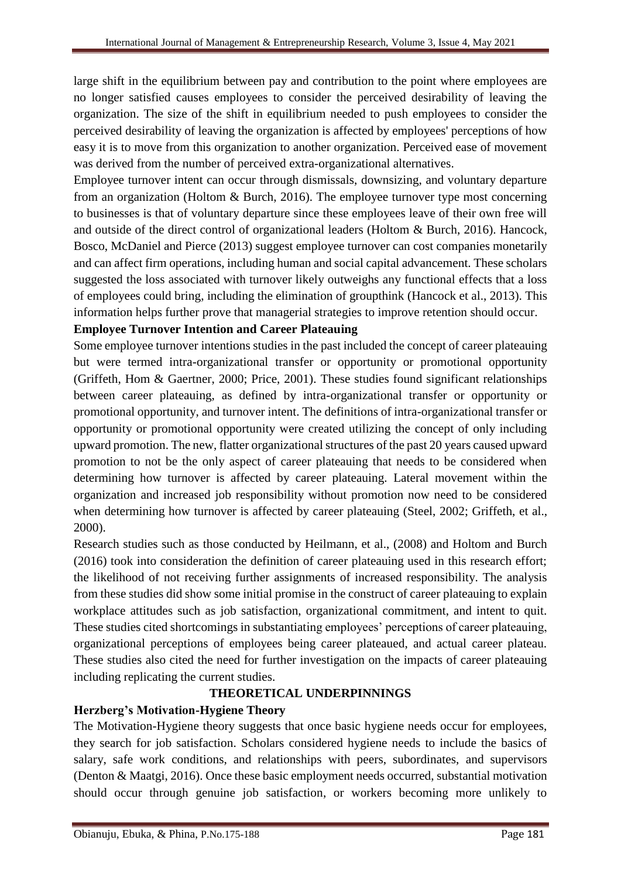large shift in the equilibrium between pay and contribution to the point where employees are no longer satisfied causes employees to consider the perceived desirability of leaving the organization. The size of the shift in equilibrium needed to push employees to consider the perceived desirability of leaving the organization is affected by employees' perceptions of how easy it is to move from this organization to another organization. Perceived ease of movement was derived from the number of perceived extra-organizational alternatives.

Employee turnover intent can occur through dismissals, downsizing, and voluntary departure from an organization (Holtom & Burch, 2016). The employee turnover type most concerning to businesses is that of voluntary departure since these employees leave of their own free will and outside of the direct control of organizational leaders (Holtom & Burch, 2016). Hancock, Bosco, McDaniel and Pierce (2013) suggest employee turnover can cost companies monetarily and can affect firm operations, including human and social capital advancement. These scholars suggested the loss associated with turnover likely outweighs any functional effects that a loss of employees could bring, including the elimination of groupthink (Hancock et al., 2013). This information helps further prove that managerial strategies to improve retention should occur.

## **Employee Turnover Intention and Career Plateauing**

Some employee turnover intentions studies in the past included the concept of career plateauing but were termed intra-organizational transfer or opportunity or promotional opportunity (Griffeth, Hom & Gaertner, 2000; Price, 2001). These studies found significant relationships between career plateauing, as defined by intra-organizational transfer or opportunity or promotional opportunity, and turnover intent. The definitions of intra-organizational transfer or opportunity or promotional opportunity were created utilizing the concept of only including upward promotion. The new, flatter organizational structures of the past 20 years caused upward promotion to not be the only aspect of career plateauing that needs to be considered when determining how turnover is affected by career plateauing. Lateral movement within the organization and increased job responsibility without promotion now need to be considered when determining how turnover is affected by career plateauing (Steel, 2002; Griffeth, et al., 2000).

Research studies such as those conducted by [Heilmann,](https://journals.sagepub.com/doi/10.1177/1548051808317999) et al., (2008) and Holtom and Burch (2016) took into consideration the definition of career plateauing used in this research effort; the likelihood of not receiving further assignments of increased responsibility. The analysis from these studies did show some initial promise in the construct of career plateauing to explain workplace attitudes such as job satisfaction, organizational commitment, and intent to quit. These studies cited shortcomings in substantiating employees' perceptions of career plateauing, organizational perceptions of employees being career plateaued, and actual career plateau. These studies also cited the need for further investigation on the impacts of career plateauing including replicating the current studies.

#### **THEORETICAL UNDERPINNINGS**

# **Herzberg's Motivation-Hygiene Theory**

The Motivation-Hygiene theory suggests that once basic hygiene needs occur for employees, they search for job satisfaction. Scholars considered hygiene needs to include the basics of salary, safe work conditions, and relationships with peers, subordinates, and supervisors (Denton & Maatgi, 2016). Once these basic employment needs occurred, substantial motivation should occur through genuine job satisfaction, or workers becoming more unlikely to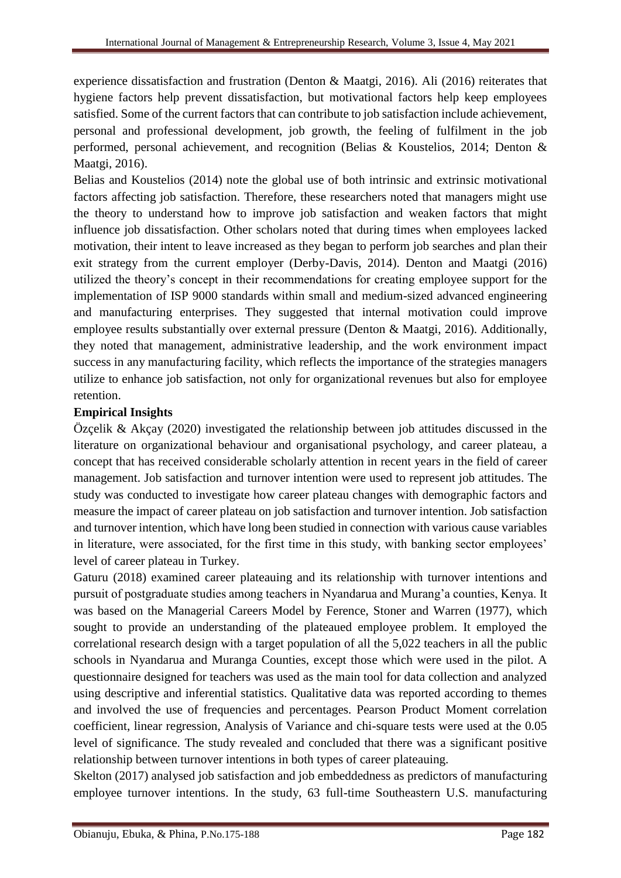experience dissatisfaction and frustration (Denton & Maatgi, 2016). Ali (2016) reiterates that hygiene factors help prevent dissatisfaction, but motivational factors help keep employees satisfied. Some of the current factors that can contribute to job satisfaction include achievement, personal and professional development, job growth, the feeling of fulfilment in the job performed, personal achievement, and recognition (Belias & Koustelios, 2014; Denton & Maatgi, 2016).

Belias and Koustelios (2014) note the global use of both intrinsic and extrinsic motivational factors affecting job satisfaction. Therefore, these researchers noted that managers might use the theory to understand how to improve job satisfaction and weaken factors that might influence job dissatisfaction. Other scholars noted that during times when employees lacked motivation, their intent to leave increased as they began to perform job searches and plan their exit strategy from the current employer (Derby-Davis, 2014). Denton and Maatgi (2016) utilized the theory's concept in their recommendations for creating employee support for the implementation of ISP 9000 standards within small and medium-sized advanced engineering and manufacturing enterprises. They suggested that internal motivation could improve employee results substantially over external pressure (Denton & Maatgi, 2016). Additionally, they noted that management, administrative leadership, and the work environment impact success in any manufacturing facility, which reflects the importance of the strategies managers utilize to enhance job satisfaction, not only for organizational revenues but also for employee retention.

## **Empirical Insights**

Özçelik & Akçay (2020) investigated the relationship between job attitudes discussed in the literature on organizational behaviour and organisational psychology, and career plateau, a concept that has received considerable scholarly attention in recent years in the field of career management. Job satisfaction and turnover intention were used to represent job attitudes. The study was conducted to investigate how career plateau changes with demographic factors and measure the impact of career plateau on job satisfaction and turnover intention. Job satisfaction and turnover intention, which have long been studied in connection with various cause variables in literature, were associated, for the first time in this study, with banking sector employees' level of career plateau in Turkey.

Gaturu (2018) examined career plateauing and its relationship with turnover intentions and pursuit of postgraduate studies among teachers in Nyandarua and Murang'a counties, Kenya. It was based on the Managerial Careers Model by Ference, Stoner and Warren (1977), which sought to provide an understanding of the plateaued employee problem. It employed the correlational research design with a target population of all the 5,022 teachers in all the public schools in Nyandarua and Muranga Counties, except those which were used in the pilot. A questionnaire designed for teachers was used as the main tool for data collection and analyzed using descriptive and inferential statistics. Qualitative data was reported according to themes and involved the use of frequencies and percentages. Pearson Product Moment correlation coefficient, linear regression, Analysis of Variance and chi-square tests were used at the 0.05 level of significance. The study revealed and concluded that there was a significant positive relationship between turnover intentions in both types of career plateauing.

Skelton (2017) analysed job satisfaction and job embeddedness as predictors of manufacturing employee turnover intentions. In the study, 63 full-time Southeastern U.S. manufacturing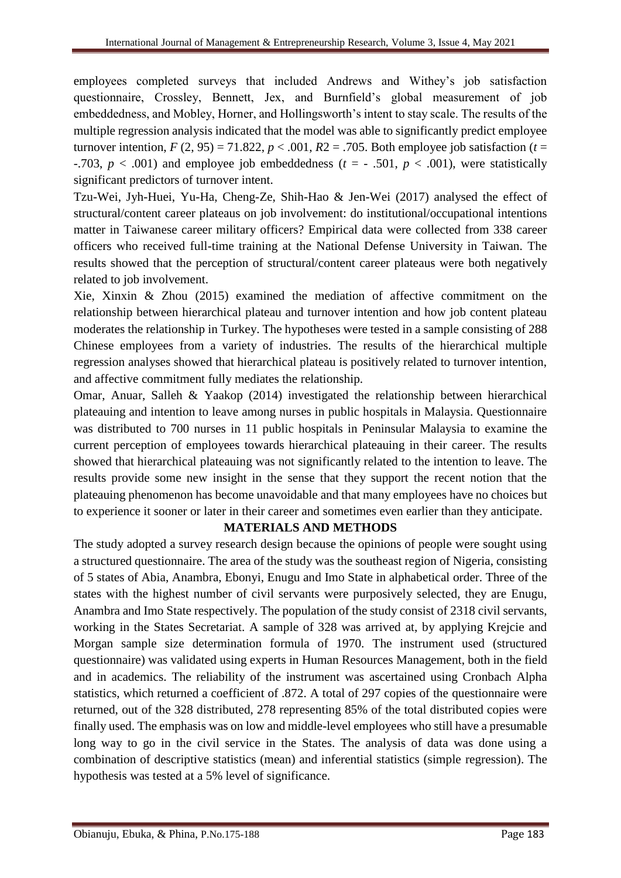employees completed surveys that included Andrews and Withey's job satisfaction questionnaire, Crossley, Bennett, Jex, and Burnfield's global measurement of job embeddedness, and Mobley, Horner, and Hollingsworth's intent to stay scale. The results of the multiple regression analysis indicated that the model was able to significantly predict employee turnover intention,  $F(2, 95) = 71.822$ ,  $p < .001$ ,  $R2 = .705$ . Both employee job satisfaction ( $t =$ -.703,  $p < .001$ ) and employee job embeddedness ( $t = -0.501$ ,  $p < .001$ ), were statistically significant predictors of turnover intent.

Tzu-Wei, Jyh-Huei, Yu-Ha, Cheng-Ze, Shih-Hao & Jen-Wei (2017) analysed the effect of structural/content career plateaus on job involvement: do institutional/occupational intentions matter in Taiwanese career military officers? Empirical data were collected from 338 career officers who received full-time training at the National Defense University in Taiwan. The results showed that the perception of structural/content career plateaus were both negatively related to job involvement.

Xie, Xinxin & Zhou (2015) examined the mediation of affective commitment on the relationship between hierarchical plateau and turnover intention and how job content plateau moderates the relationship in Turkey. The hypotheses were tested in a sample consisting of 288 Chinese employees from a variety of industries. The results of the hierarchical multiple regression analyses showed that hierarchical plateau is positively related to turnover intention, and affective commitment fully mediates the relationship.

Omar, Anuar, Salleh & Yaakop (2014) investigated the relationship between hierarchical plateauing and intention to leave among nurses in public hospitals in Malaysia. Questionnaire was distributed to 700 nurses in 11 public hospitals in Peninsular Malaysia to examine the current perception of employees towards hierarchical plateauing in their career. The results showed that hierarchical plateauing was not significantly related to the intention to leave. The results provide some new insight in the sense that they support the recent notion that the plateauing phenomenon has become unavoidable and that many employees have no choices but to experience it sooner or later in their career and sometimes even earlier than they anticipate.

#### **MATERIALS AND METHODS**

The study adopted a survey research design because the opinions of people were sought using a structured questionnaire. The area of the study was the southeast region of Nigeria, consisting of 5 states of Abia, Anambra, Ebonyi, Enugu and Imo State in alphabetical order. Three of the states with the highest number of civil servants were purposively selected, they are Enugu, Anambra and Imo State respectively. The population of the study consist of 2318 civil servants, working in the States Secretariat. A sample of 328 was arrived at, by applying Krejcie and Morgan sample size determination formula of 1970. The instrument used (structured questionnaire) was validated using experts in Human Resources Management, both in the field and in academics. The reliability of the instrument was ascertained using Cronbach Alpha statistics, which returned a coefficient of .872. A total of 297 copies of the questionnaire were returned, out of the 328 distributed, 278 representing 85% of the total distributed copies were finally used. The emphasis was on low and middle-level employees who still have a presumable long way to go in the civil service in the States. The analysis of data was done using a combination of descriptive statistics (mean) and inferential statistics (simple regression). The hypothesis was tested at a 5% level of significance.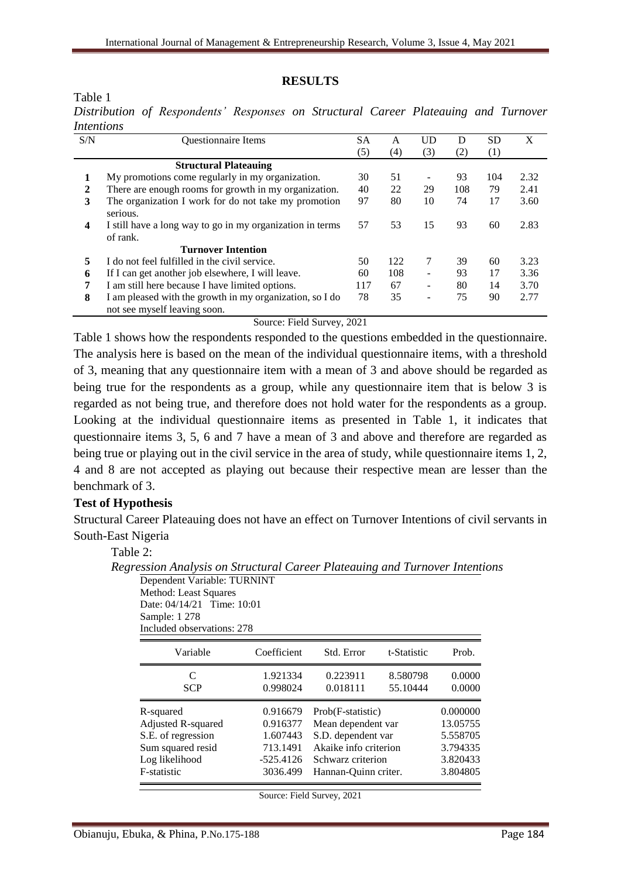#### **RESULTS**

Table 1

*Distribution of Respondents' Responses on Structural Career Plateauing and Turnover Intentions* 

| S/N | <b>Ouestionnaire Items</b>                                                               | SА  | A   | <b>UD</b> | D   | <b>SD</b>        | X    |
|-----|------------------------------------------------------------------------------------------|-----|-----|-----------|-----|------------------|------|
|     |                                                                                          | (5) | (4) | (3)       | (2) | $\left(1\right)$ |      |
|     | <b>Structural Plateauing</b>                                                             |     |     |           |     |                  |      |
| 1   | My promotions come regularly in my organization.                                         | 30  | 51  |           | 93  | 104              | 2.32 |
| 2   | There are enough rooms for growth in my organization.                                    | 40  | 22  | 29        | 108 | 79               | 2.41 |
| 3   | The organization I work for do not take my promotion<br>serious.                         | 97  | 80  | 10        | 74  | 17               | 3.60 |
| 4   | I still have a long way to go in my organization in terms<br>of rank.                    | 57  | 53  | 15        | 93  | 60               | 2.83 |
|     | <b>Turnover Intention</b>                                                                |     |     |           |     |                  |      |
| 5   | I do not feel fulfilled in the civil service.                                            | 50  | 122 | 7         | 39  | 60               | 3.23 |
| 6   | If I can get another job elsewhere, I will leave.                                        | 60  | 108 |           | 93  | 17               | 3.36 |
| 7   | I am still here because I have limited options.                                          | 117 | 67  |           | 80  | 14               | 3.70 |
| 8   | I am pleased with the growth in my organization, so I do<br>not see myself leaving soon. | 78  | 35  | -         | 75  | 90               | 2.77 |

Source: Field Survey, 2021

Table 1 shows how the respondents responded to the questions embedded in the questionnaire. The analysis here is based on the mean of the individual questionnaire items, with a threshold of 3, meaning that any questionnaire item with a mean of 3 and above should be regarded as being true for the respondents as a group, while any questionnaire item that is below 3 is regarded as not being true, and therefore does not hold water for the respondents as a group. Looking at the individual questionnaire items as presented in Table 1, it indicates that questionnaire items 3, 5, 6 and 7 have a mean of 3 and above and therefore are regarded as being true or playing out in the civil service in the area of study, while questionnaire items 1, 2, 4 and 8 are not accepted as playing out because their respective mean are lesser than the benchmark of 3.

#### **Test of Hypothesis**

Structural Career Plateauing does not have an effect on Turnover Intentions of civil servants in South-East Nigeria

Table 2:

| Dependent Variable: TURNINT                         |             |                       |             |          |  |  |  |  |  |  |               |
|-----------------------------------------------------|-------------|-----------------------|-------------|----------|--|--|--|--|--|--|---------------|
| Method: Least Squares<br>Date: 04/14/21 Time: 10:01 |             |                       |             |          |  |  |  |  |  |  |               |
|                                                     |             |                       |             |          |  |  |  |  |  |  | Sample: 1 278 |
| Included observations: 278                          |             |                       |             |          |  |  |  |  |  |  |               |
| Variable                                            | Coefficient | Std. Error            | t-Statistic | Prob.    |  |  |  |  |  |  |               |
| C                                                   | 1.921334    | 0.223911              | 8.580798    | 0.0000   |  |  |  |  |  |  |               |
| <b>SCP</b>                                          | 0.998024    | 0.018111              | 55.10444    | 0.0000   |  |  |  |  |  |  |               |
| R-squared                                           | 0.916679    | Prob(F-statistic)     | 0.000000    |          |  |  |  |  |  |  |               |
| Adjusted R-squared                                  | 0.916377    | Mean dependent var    | 13.05755    |          |  |  |  |  |  |  |               |
| S.E. of regression                                  | 1.607443    | S.D. dependent var    |             | 5.558705 |  |  |  |  |  |  |               |
| Sum squared resid                                   | 713.1491    | Akaike info criterion | 3.794335    |          |  |  |  |  |  |  |               |
| Log likelihood                                      | $-525.4126$ | Schwarz criterion     | 3.820433    |          |  |  |  |  |  |  |               |
| F-statistic                                         | 3036.499    | Hannan-Quinn criter.  | 3.804805    |          |  |  |  |  |  |  |               |

*Regression Analysis on Structural Career Plateauing and Turnover Intentions*

Source: Field Survey, 2021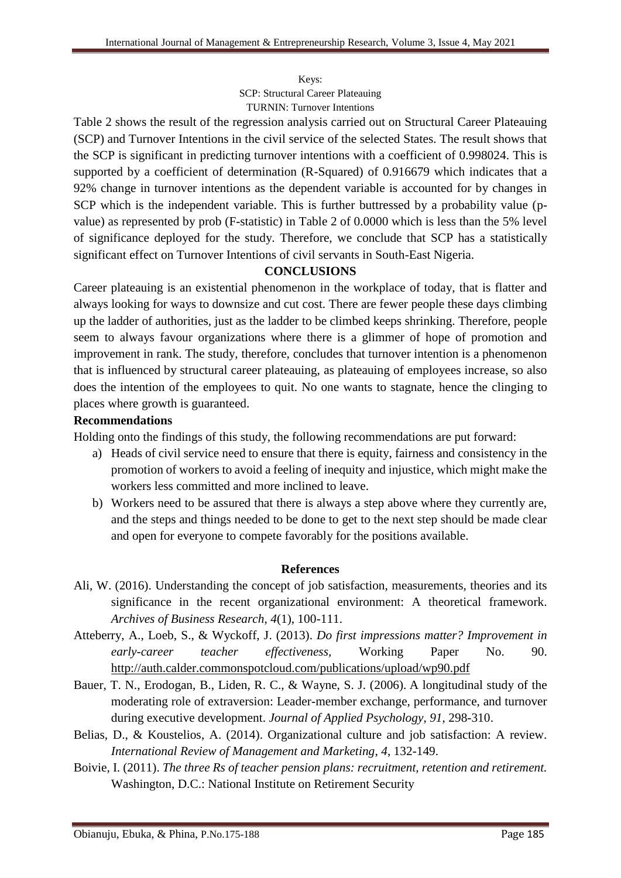Keys:

SCP: Structural Career Plateauing TURNIN: Turnover Intentions

Table 2 shows the result of the regression analysis carried out on Structural Career Plateauing (SCP) and Turnover Intentions in the civil service of the selected States. The result shows that the SCP is significant in predicting turnover intentions with a coefficient of 0.998024. This is supported by a coefficient of determination (R-Squared) of 0.916679 which indicates that a 92% change in turnover intentions as the dependent variable is accounted for by changes in SCP which is the independent variable. This is further buttressed by a probability value (pvalue) as represented by prob (F-statistic) in Table 2 of 0.0000 which is less than the 5% level of significance deployed for the study. Therefore, we conclude that SCP has a statistically significant effect on Turnover Intentions of civil servants in South-East Nigeria.

#### **CONCLUSIONS**

Career plateauing is an existential phenomenon in the workplace of today, that is flatter and always looking for ways to downsize and cut cost. There are fewer people these days climbing up the ladder of authorities, just as the ladder to be climbed keeps shrinking. Therefore, people seem to always favour organizations where there is a glimmer of hope of promotion and improvement in rank. The study, therefore, concludes that turnover intention is a phenomenon that is influenced by structural career plateauing, as plateauing of employees increase, so also does the intention of the employees to quit. No one wants to stagnate, hence the clinging to places where growth is guaranteed.

#### **Recommendations**

Holding onto the findings of this study, the following recommendations are put forward:

- a) Heads of civil service need to ensure that there is equity, fairness and consistency in the promotion of workers to avoid a feeling of inequity and injustice, which might make the workers less committed and more inclined to leave.
- b) Workers need to be assured that there is always a step above where they currently are, and the steps and things needed to be done to get to the next step should be made clear and open for everyone to compete favorably for the positions available.

#### **References**

- Ali, W. (2016). Understanding the concept of job satisfaction, measurements, theories and its significance in the recent organizational environment: A theoretical framework. *Archives of Business Research*, *4*(1), 100-111.
- Atteberry, A., Loeb, S., & Wyckoff, J. (2013). *Do first impressions matter? Improvement in early-career teacher effectiveness,* Working Paper No. 90. <http://auth.calder.commonspotcloud.com/publications/upload/wp90.pdf>
- Bauer, T. N., Erodogan, B., Liden, R. C., & Wayne, S. J. (2006). A longitudinal study of the moderating role of extraversion: Leader-member exchange, performance, and turnover during executive development. *Journal of Applied Psychology*, *91*, 298-310.
- Belias, D., & Koustelios, A. (2014). Organizational culture and job satisfaction: A review. *International Review of Management and Marketing*, *4*, 132-149.
- Boivie, I. (2011). *The three Rs of teacher pension plans: recruitment, retention and retirement.* Washington, D.C.: National Institute on Retirement Security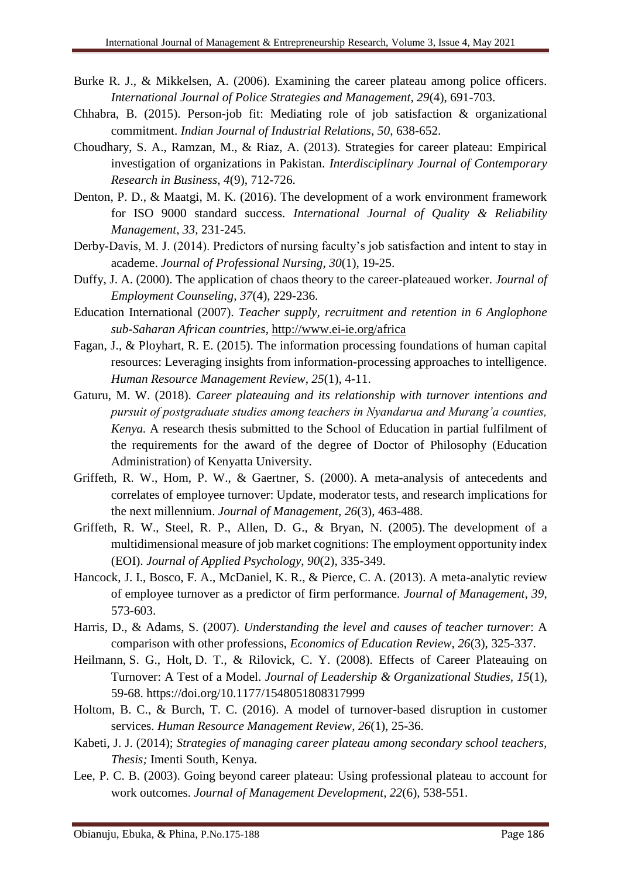- Burke R. J., & Mikkelsen, A. (2006). Examining the career plateau among police officers. *International Journal of Police Strategies and Management, 29*(4), 691-703.
- Chhabra, B. (2015). Person-job fit: Mediating role of job satisfaction & organizational commitment. *Indian Journal of Industrial Relations*, *50*, 638-652.
- Choudhary, S. A., Ramzan, M., & Riaz, A. (2013). Strategies for career plateau: Empirical investigation of organizations in Pakistan. *Interdisciplinary Journal of Contemporary Research in Business, 4*(9), 712-726.
- Denton, P. D., & Maatgi, M. K. (2016). The development of a work environment framework for ISO 9000 standard success. *International Journal of Quality & Reliability Management*, *33*, 231-245.
- Derby-Davis, M. J. (2014). Predictors of nursing faculty's job satisfaction and intent to stay in academe. *Journal of Professional Nursing*, *30*(1), 19-25.
- Duffy, J. A. (2000). The application of chaos theory to the career-plateaued worker. *Journal of Employment Counseling, 37*(4), 229-236.
- Education International (2007). *Teacher supply, recruitment and retention in 6 Anglophone sub-Saharan African countries*,<http://www.ei-ie.org/africa>
- Fagan, J., & Ployhart, R. E. (2015). The information processing foundations of human capital resources: Leveraging insights from information-processing approaches to intelligence. *Human Resource Management Review*, *25*(1), 4-11.
- Gaturu, M. W. (2018). *Career plateauing and its relationship with turnover intentions and pursuit of postgraduate studies among teachers in Nyandarua and Murang'a counties, Kenya.* A research thesis submitted to the School of Education in partial fulfilment of the requirements for the award of the degree of Doctor of Philosophy (Education Administration) of Kenyatta University.
- Griffeth, R. W., Hom, P. W., & Gaertner, S. (2000). A meta-analysis of antecedents and correlates of employee turnover: Update, moderator tests, and research implications for the next millennium. *Journal of Management*, *26*(3), 463-488.
- Griffeth, R. W., Steel, R. P., Allen, D. G., & Bryan, N. (2005). The development of a multidimensional measure of job market cognitions: The employment opportunity index (EOI). *Journal of Applied Psychology*, *90*(2), 335-349.
- Hancock, J. I., Bosco, F. A., McDaniel, K. R., & Pierce, C. A. (2013). A meta-analytic review of employee turnover as a predictor of firm performance. *Journal of Management*, *39*, 573-603.
- Harris, D., & Adams, S. (2007). *Understanding the level and causes of teacher turnover*: A comparison with other professions, *Economics of Education Review, 26*(3), 325-337.
- [Heilmann,](https://journals.sagepub.com/doi/10.1177/1548051808317999) S. G., [Holt,](https://journals.sagepub.com/doi/10.1177/1548051808317999) D. T., & [Rilovick,](https://journals.sagepub.com/doi/10.1177/1548051808317999) C. Y. (2008). Effects of Career Plateauing on Turnover: A Test of a Model. *Journal of Leadership & Organizational Studies, 15*(1), 59-68. [https://doi.org/10.1177/1548051808317999](https://doi.org/10.1177%2F1548051808317999)
- Holtom, B. C., & Burch, T. C. (2016). A model of turnover-based disruption in customer services. *Human Resource Management Review*, *26*(1), 25-36.
- Kabeti, J. J. (2014); *Strategies of managing career plateau among secondary school teachers, Thesis;* Imenti South, Kenya.
- Lee, P. C. B. (2003). Going beyond career plateau: Using professional plateau to account for work outcomes. *Journal of Management Development, 22*(6), 538-551.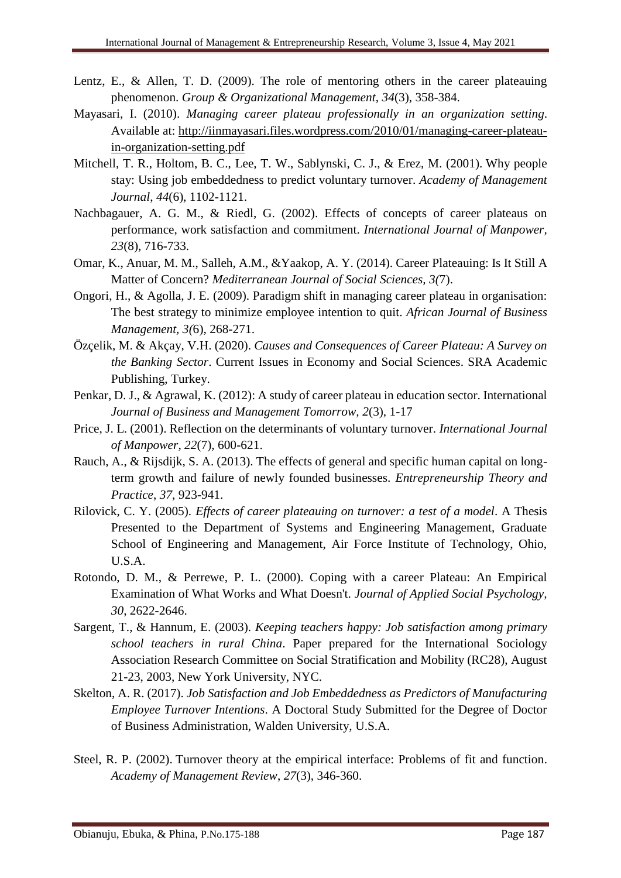- Lentz, E., & Allen, T. D. (2009). The role of mentoring others in the career plateauing phenomenon. *Group & Organizational Management*, *34*(3), 358-384.
- Mayasari, I. (2010). *Managing career plateau professionally in an organization setting*. Available at: [http://iinmayasari.files.wordpress.com/2010/01/managing-career-plateau](http://iinmayasari.files.wordpress.com/2010/01/managing-career-plateau-in-organization-setting.pdf)[in-organization-setting.pdf](http://iinmayasari.files.wordpress.com/2010/01/managing-career-plateau-in-organization-setting.pdf)
- Mitchell, T. R., Holtom, B. C., Lee, T. W., Sablynski, C. J., & Erez, M. (2001). Why people stay: Using job embeddedness to predict voluntary turnover. *Academy of Management Journal*, *44*(6), 1102-1121.
- Nachbagauer, A. G. M., & Riedl, G. (2002). Effects of concepts of career plateaus on performance, work satisfaction and commitment. *International Journal of Manpower, 23*(8), 716-733.
- Omar, K., Anuar, M. M., Salleh, A.M., &Yaakop, A. Y. (2014). Career Plateauing: Is It Still A Matter of Concern? *Mediterranean Journal of Social Sciences, 3(*7).
- Ongori, H., & Agolla, J. E. (2009). Paradigm shift in managing career plateau in organisation: The best strategy to minimize employee intention to quit. *African Journal of Business Management, 3(*6), 268-271.
- Özçelik, M. & Akçay, V.H. (2020). *Causes and Consequences of Career Plateau: A Survey on the Banking Sector*. Current Issues in Economy and Social Sciences. SRA Academic Publishing, Turkey.
- Penkar, D. J., & Agrawal, K. (2012): A study of career plateau in education sector. International *Journal of Business and Management Tomorrow, 2*(3), 1-17
- Price, J. L. (2001). Reflection on the determinants of voluntary turnover. *International Journal of Manpower, 22*(7), 600-621.
- Rauch, A., & Rijsdijk, S. A. (2013). The effects of general and specific human capital on longterm growth and failure of newly founded businesses. *Entrepreneurship Theory and Practice*, *37*, 923-941.
- Rilovick, C. Y. (2005). *Effects of career plateauing on turnover: a test of a model*. A Thesis Presented to the Department of Systems and Engineering Management, Graduate School of Engineering and Management, Air Force Institute of Technology, Ohio, U.S.A.
- Rotondo, D. M., & Perrewe, P. L. (2000). Coping with a career Plateau: An Empirical Examination of What Works and What Doesn't. *Journal of Applied Social Psychology, 30*, 2622-2646.
- Sargent, T., & Hannum, E. (2003). *Keeping teachers happy: Job satisfaction among primary school teachers in rural China*. Paper prepared for the International Sociology Association Research Committee on Social Stratification and Mobility (RC28), August 21-23, 2003, New York University, NYC.
- Skelton, A. R. (2017). *Job Satisfaction and Job Embeddedness as Predictors of Manufacturing Employee Turnover Intentions*. A Doctoral Study Submitted for the Degree of Doctor of Business Administration, Walden University, U.S.A.
- Steel, R. P. (2002). Turnover theory at the empirical interface: Problems of fit and function. *Academy of Management Review*, *27*(3), 346-360.